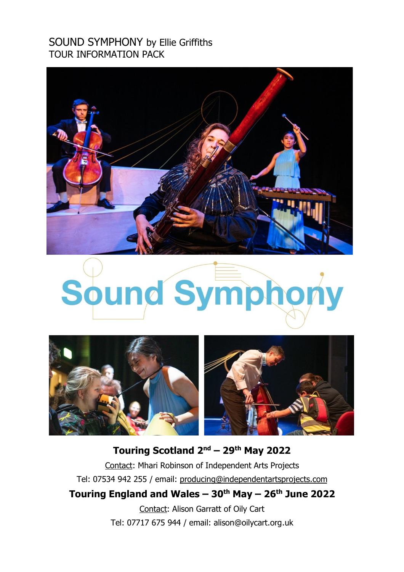# SOUND SYMPHONY by Ellie Griffiths TOUR INFORMATION PACK



# Sound Symphony



# **Touring Scotland 2 nd – 29th May 2022**

Contact: Mhari Robinson of Independent Arts Projects Tel: 07534 942 255 / email: [producing@independentartsprojects.com](mailto:producing@independentartsprojects.com) **Touring England and Wales – 30th May – 26th June 2022**

> Contact: Alison Garratt of Oily Cart Tel: 07717 675 944 / email: alison@oilycart.org.uk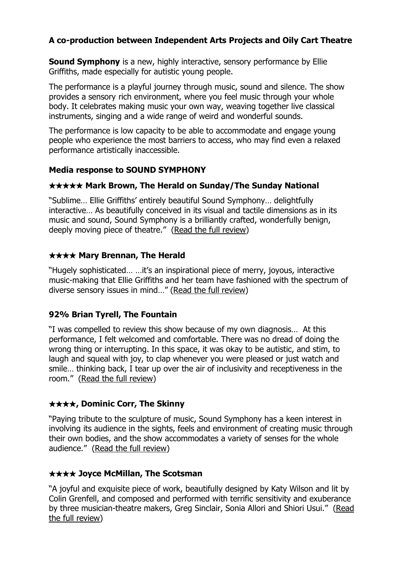# **A co-production between Independent Arts Projects and Oily Cart Theatre**

**Sound Symphony** is a new, highly interactive, sensory performance by Ellie Griffiths, made especially for autistic young people.

The performance is a playful journey through music, sound and silence. The show provides a sensory rich environment, where you feel music through your whole body. It celebrates making music your own way, weaving together live classical instruments, singing and a wide range of weird and wonderful sounds.

The performance is low capacity to be able to accommodate and engage young people who experience the most barriers to access, who may find even a relaxed performance artistically inaccessible.

#### **Media response to SOUND SYMPHONY**

#### ★★★★★ **Mark Brown, The Herald on Sunday/The Sunday National**

"Sublime… Ellie Griffiths' entirely beautiful Sound Symphony… delightfully interactive… As beautifully conceived in its visual and tactile dimensions as in its music and sound, Sound Symphony is a brilliantly crafted, wonderfully benign, deeply moving piece of theatre." (Read the full [review\)](https://www.heraldscotland.com/arts_ents/17634181.mark-browns-dance-and-theatre-reviews/?fbclid=IwAR1xED1BEMatInY7jFxQC3fzKMAep4zwg46d5n6PUzNinIXYXEvo7xWFNU4)

## ★★★★ **Mary Brennan, The Herald**

"Hugely sophisticated… …it's an inspirational piece of merry, joyous, interactive music-making that Ellie Griffiths and her team have fashioned with the spectrum of diverse sensory issues in mind…" (Read the full [review\)](https://www.heraldscotland.com/news/17638899.music-sound-symphony-platform-the-bridge-glasgow-four-stars/?ref=nuo)

#### **92% Brian Tyrell, The Fountain**

"I was compelled to review this show because of my own diagnosis… At this performance, I felt welcomed and comfortable. There was no dread of doing the wrong thing or interrupting. In this space, it was okay to be autistic, and stim, to laugh and squeal with joy, to clap whenever you were pleased or just watch and smile… thinking back, I tear up over the air of inclusivity and receptiveness in the room." (Read the full [review\)](https://thefountain.eu/theatre/2019/05/review-sound-symphony/)

# ★★★★**, Dominic Corr, The Skinny**

"Paying tribute to the sculpture of music, Sound Symphony has a keen interest in involving its audience in the sights, feels and environment of creating music through their own bodies, and the show accommodates a variety of senses for the whole audience." (Read the full [review\)](https://www.theskinny.co.uk/theatre/shows/reviews/sound-symphony-the-studio-at-festival-theatre-edinburgh)

# ★★★★ **Joyce McMillan, The Scotsman**

"A joyful and exquisite piece of work, beautifully designed by Katy Wilson and lit by Colin Grenfell, and composed and performed with terrific sensitivity and exuberance by three musician-theatre makers, Greg Sinclair, Sonia Allori and Shiori Usui." [\(Read](https://www.scotsman.com/arts-and-culture/entertainment/theatre-reviews-toy-plastic-chicken-oran-mor-glasgow-the-worst-witch-king-s-theatre-edinburgh-sound-symphony-the-studio-edinburgh-1-4925210?fbclid=IwAR3zgEktmc4GOFL_qxy0-iFPXkrTlg6CgPSAKpDYY6ZK6TxOzEw7xg9q2jQ) the full [review\)](https://www.scotsman.com/arts-and-culture/entertainment/theatre-reviews-toy-plastic-chicken-oran-mor-glasgow-the-worst-witch-king-s-theatre-edinburgh-sound-symphony-the-studio-edinburgh-1-4925210?fbclid=IwAR3zgEktmc4GOFL_qxy0-iFPXkrTlg6CgPSAKpDYY6ZK6TxOzEw7xg9q2jQ)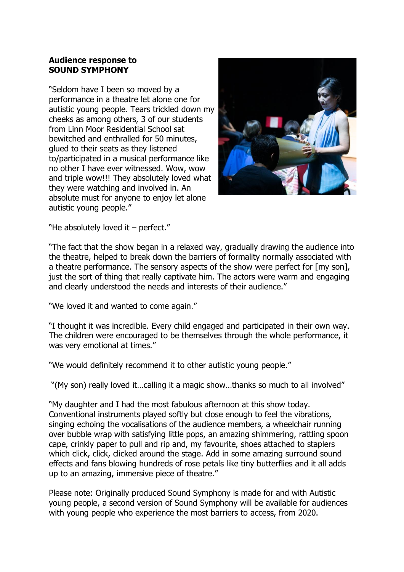#### **Audience response to SOUND SYMPHONY**

"Seldom have I been so moved by a performance in a theatre let alone one for autistic young people. Tears trickled down my cheeks as among others, 3 of our students from Linn Moor Residential School sat bewitched and enthralled for 50 minutes, glued to their seats as they listened to/participated in a musical performance like no other I have ever witnessed. Wow, wow and triple wow!!! They absolutely loved what they were watching and involved in. An absolute must for anyone to enjoy let alone autistic young people."



"He absolutely loved it – perfect."

"The fact that the show began in a relaxed way, gradually drawing the audience into the theatre, helped to break down the barriers of formality normally associated with a theatre performance. The sensory aspects of the show were perfect for [my son], just the sort of thing that really captivate him. The actors were warm and engaging and clearly understood the needs and interests of their audience."

"We loved it and wanted to come again."

"I thought it was incredible. Every child engaged and participated in their own way. The children were encouraged to be themselves through the whole performance, it was very emotional at times."

"We would definitely recommend it to other autistic young people."

"(My son) really loved it…calling it a magic show…thanks so much to all involved"

"My daughter and I had the most fabulous afternoon at this show today. Conventional instruments played softly but close enough to feel the vibrations, singing echoing the vocalisations of the audience members, a wheelchair running over bubble wrap with satisfying little pops, an amazing shimmering, rattling spoon cape, crinkly paper to pull and rip and, my favourite, shoes attached to staplers which click, click, clicked around the stage. Add in some amazing surround sound effects and fans blowing hundreds of rose petals like tiny butterflies and it all adds up to an amazing, immersive piece of theatre."

Please note: Originally produced Sound Symphony is made for and with Autistic young people, a second version of Sound Symphony will be available for audiences with young people who experience the most barriers to access, from 2020.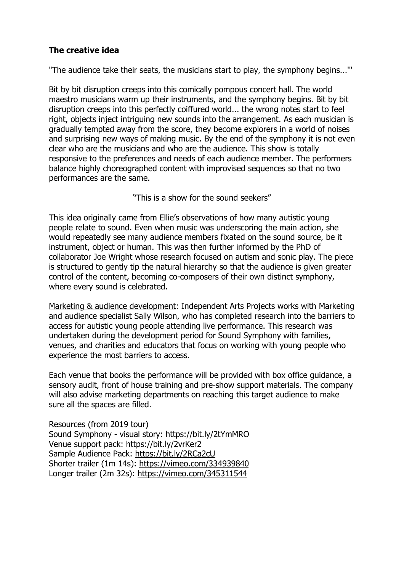# **The creative idea**

"The audience take their seats, the musicians start to play, the symphony begins...'"

Bit by bit disruption creeps into this comically pompous concert hall. The world maestro musicians warm up their instruments, and the symphony begins. Bit by bit disruption creeps into this perfectly coiffured world... the wrong notes start to feel right, objects inject intriguing new sounds into the arrangement. As each musician is gradually tempted away from the score, they become explorers in a world of noises and surprising new ways of making music. By the end of the symphony it is not even clear who are the musicians and who are the audience. This show is totally responsive to the preferences and needs of each audience member. The performers balance highly choreographed content with improvised sequences so that no two performances are the same.

"This is a show for the sound seekers"

This idea originally came from Ellie's observations of how many autistic young people relate to sound. Even when music was underscoring the main action, she would repeatedly see many audience members fixated on the sound source, be it instrument, object or human. This was then further informed by the PhD of collaborator Joe Wright whose research focused on autism and sonic play. The piece is structured to gently tip the natural hierarchy so that the audience is given greater control of the content, becoming co-composers of their own distinct symphony, where every sound is celebrated.

Marketing & audience development: Independent Arts Projects works with Marketing and audience specialist Sally Wilson, who has completed research into the barriers to access for autistic young people attending live performance. This research was undertaken during the development period for Sound Symphony with families, venues, and charities and educators that focus on working with young people who experience the most barriers to access.

Each venue that books the performance will be provided with box office guidance, a sensory audit, front of house training and pre-show support materials. The company will also advise marketing departments on reaching this target audience to make sure all the spaces are filled.

Resources (from 2019 tour) Sound Symphony - visual story: <https://bit.ly/2tYmMRO> Venue support pack: <https://bit.ly/2vrKer2> Sample Audience Pack: <https://bit.ly/2RCa2cU> Shorter trailer (1m 14s): <https://vimeo.com/334939840> Longer trailer (2m 32s): <https://vimeo.com/345311544>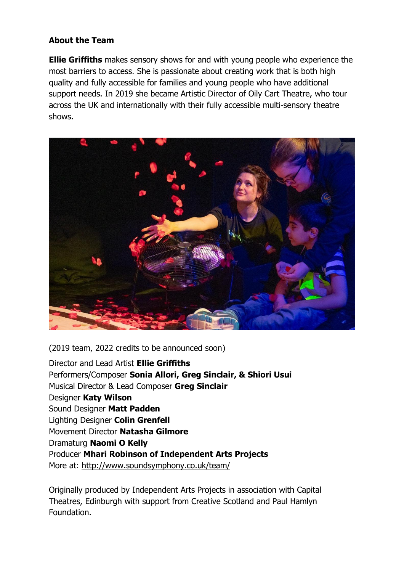## **About the Team**

**Ellie Griffiths** makes sensory shows for and with young people who experience the most barriers to access. She is passionate about creating work that is both high quality and fully accessible for families and young people who have additional support needs. In 2019 she became Artistic Director of Oily Cart Theatre, who tour across the UK and internationally with their fully accessible multi-sensory theatre shows.



(2019 team, 2022 credits to be announced soon)

Director and Lead Artist **Ellie Griffiths** Performers/Composer **Sonia Allori, Greg Sinclair, & Shiori Usui** Musical Director & Lead Composer **Greg Sinclair** Designer **Katy Wilson** Sound Designer **Matt Padden** Lighting Designer **Colin Grenfell** Movement Director **Natasha Gilmore** Dramaturg **Naomi O Kelly** Producer **Mhari Robinson of Independent Arts Projects** More at: <http://www.soundsymphony.co.uk/team/>

Originally produced by Independent Arts Projects in association with Capital Theatres, Edinburgh with support from Creative Scotland and Paul Hamlyn Foundation.